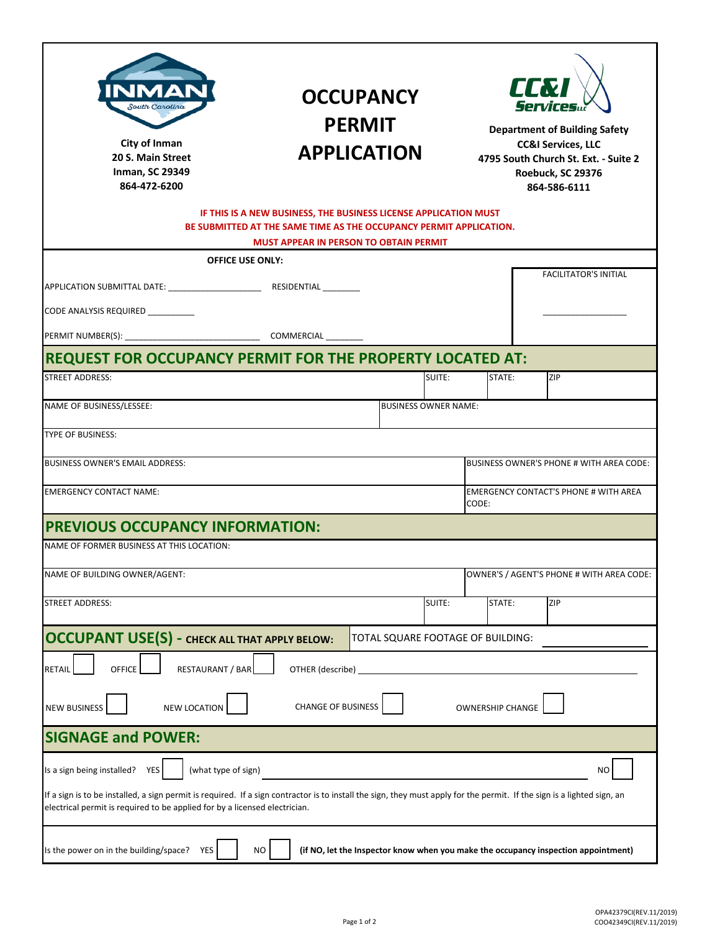| MA<br>South Carolina<br><b>City of Inman</b><br>20 S. Main Street<br><b>Inman, SC 29349</b><br>864-472-6200                                                                                                                                                                                                          | <b>OCCUPANCY</b><br><b>PERMIT</b><br><b>APPLICATION</b><br>IF THIS IS A NEW BUSINESS, THE BUSINESS LICENSE APPLICATION MUST<br>BE SUBMITTED AT THE SAME TIME AS THE OCCUPANCY PERMIT APPLICATION. |                             |        | LLW<br><b>Department of Building Safety</b><br><b>CC&amp;I Services, LLC</b><br>4795 South Church St. Ext. - Suite 2<br>Roebuck, SC 29376<br>864-586-6111 |  |                                           |
|----------------------------------------------------------------------------------------------------------------------------------------------------------------------------------------------------------------------------------------------------------------------------------------------------------------------|---------------------------------------------------------------------------------------------------------------------------------------------------------------------------------------------------|-----------------------------|--------|-----------------------------------------------------------------------------------------------------------------------------------------------------------|--|-------------------------------------------|
| <b>MUST APPEAR IN PERSON TO OBTAIN PERMIT</b>                                                                                                                                                                                                                                                                        |                                                                                                                                                                                                   |                             |        |                                                                                                                                                           |  |                                           |
| <b>OFFICE USE ONLY:</b><br>CODE ANALYSIS REQUIRED _________                                                                                                                                                                                                                                                          |                                                                                                                                                                                                   |                             |        |                                                                                                                                                           |  | <b>FACILITATOR'S INITIAL</b>              |
|                                                                                                                                                                                                                                                                                                                      |                                                                                                                                                                                                   |                             |        |                                                                                                                                                           |  |                                           |
| REQUEST FOR OCCUPANCY PERMIT FOR THE PROPERTY LOCATED AT:                                                                                                                                                                                                                                                            |                                                                                                                                                                                                   |                             |        |                                                                                                                                                           |  |                                           |
| <b>STREET ADDRESS:</b>                                                                                                                                                                                                                                                                                               |                                                                                                                                                                                                   |                             | SUITE: | STATE:                                                                                                                                                    |  | ZIP                                       |
| NAME OF BUSINESS/LESSEE:                                                                                                                                                                                                                                                                                             |                                                                                                                                                                                                   | <b>BUSINESS OWNER NAME:</b> |        |                                                                                                                                                           |  |                                           |
|                                                                                                                                                                                                                                                                                                                      |                                                                                                                                                                                                   |                             |        |                                                                                                                                                           |  |                                           |
| <b>TYPE OF BUSINESS:</b>                                                                                                                                                                                                                                                                                             |                                                                                                                                                                                                   |                             |        |                                                                                                                                                           |  |                                           |
| <b>BUSINESS OWNER'S EMAIL ADDRESS:</b><br><b>BUSINESS OWNER'S PHONE # WITH AREA CODE:</b>                                                                                                                                                                                                                            |                                                                                                                                                                                                   |                             |        |                                                                                                                                                           |  |                                           |
| <b>EMERGENCY CONTACT NAME:</b>                                                                                                                                                                                                                                                                                       | <b>EMERGENCY CONTACT'S PHONE # WITH AREA</b><br>CODE:                                                                                                                                             |                             |        |                                                                                                                                                           |  |                                           |
| <b>PREVIOUS OCCUPANCY INFORMATION:</b>                                                                                                                                                                                                                                                                               |                                                                                                                                                                                                   |                             |        |                                                                                                                                                           |  |                                           |
| NAME OF FORMER BUSINESS AT THIS LOCATION:                                                                                                                                                                                                                                                                            |                                                                                                                                                                                                   |                             |        |                                                                                                                                                           |  |                                           |
| NAME OF BUILDING OWNER/AGENT:                                                                                                                                                                                                                                                                                        |                                                                                                                                                                                                   |                             |        |                                                                                                                                                           |  | OWNER'S / AGENT'S PHONE # WITH AREA CODE: |
| <b>STREET ADDRESS:</b>                                                                                                                                                                                                                                                                                               |                                                                                                                                                                                                   |                             | SUITE: | STATE:                                                                                                                                                    |  | ZIP                                       |
| <b>OCCUPANT USE(S) - CHECK ALL THAT APPLY BELOW:</b><br>TOTAL SQUARE FOOTAGE OF BUILDING:                                                                                                                                                                                                                            |                                                                                                                                                                                                   |                             |        |                                                                                                                                                           |  |                                           |
| <b>OFFICE</b><br><b>RESTAURANT / BAR</b><br><b>RETAIL</b><br>NEW LOCATION<br><b>NEW BUSINESS</b>                                                                                                                                                                                                                     | OTHER (describe)<br><b>CHANGE OF BUSINESS</b>                                                                                                                                                     |                             |        | <b>OWNERSHIP CHANGE</b>                                                                                                                                   |  |                                           |
| <b>SIGNAGE and POWER:</b>                                                                                                                                                                                                                                                                                            |                                                                                                                                                                                                   |                             |        |                                                                                                                                                           |  |                                           |
| Is a sign being installed? YES<br>(what type of sign)<br>NO<br>If a sign is to be installed, a sign permit is required. If a sign contractor is to install the sign, they must apply for the permit. If the sign is a lighted sign, an<br>electrical permit is required to be applied for by a licensed electrician. |                                                                                                                                                                                                   |                             |        |                                                                                                                                                           |  |                                           |
| Is the power on in the building/space?<br><b>YES</b><br>NΟ<br>(if NO, let the Inspector know when you make the occupancy inspection appointment)                                                                                                                                                                     |                                                                                                                                                                                                   |                             |        |                                                                                                                                                           |  |                                           |